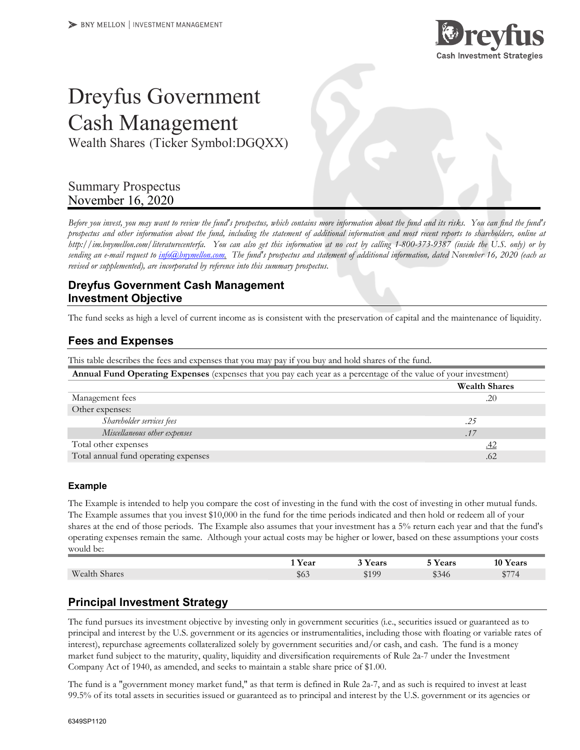

# Dreyfus Government Cash Management

Wealth Shares (Ticker Symbol:DGQXX)

# Summary Prospectus November 16, 2020

*Before you invest, you may want to review the fund's prospectus, which contains more information about the fund and its risks. You can find the fund's prospectus and other information about the fund, including the statement of additional information and most recent reports to shareholders, online at http://im.bnymellon.com/literaturecenterfa. You can also get this information at no cost by calling 1-800-373-9387 (inside the U.S. only) or by sending an e-mail request to info@bnymellon.com. The fund's prospectus and statement of additional information, dated November 16, 2020 (each as revised or supplemented), are incorporated by reference into this summary prospectus.* 

# **Dreyfus Government Cash Management Investment Objective**

The fund seeks as high a level of current income as is consistent with the preservation of capital and the maintenance of liquidity.

#### **Fees and Expenses**

| This table describes the fees and expenses that you may pay if you buy and hold shares of the fund.              |                      |  |  |
|------------------------------------------------------------------------------------------------------------------|----------------------|--|--|
| Annual Fund Operating Expenses (expenses that you pay each year as a percentage of the value of your investment) |                      |  |  |
|                                                                                                                  | <b>Wealth Shares</b> |  |  |
| Management fees                                                                                                  | .20                  |  |  |
| Other expenses:                                                                                                  |                      |  |  |
| Shareholder services fees                                                                                        | .25                  |  |  |
| Miscellaneous other expenses                                                                                     | .17                  |  |  |
| Total other expenses                                                                                             | <u>.42</u>           |  |  |
| Total annual fund operating expenses                                                                             | .62                  |  |  |

#### **Example**

The Example is intended to help you compare the cost of investing in the fund with the cost of investing in other mutual funds. The Example assumes that you invest \$10,000 in the fund for the time periods indicated and then hold or redeem all of your shares at the end of those periods. The Example also assumes that your investment has a 5% return each year and that the fund's operating expenses remain the same. Although your actual costs may be higher or lower, based on these assumptions your costs would be:

|                      | Year                                           | Years | <b>Years</b>                       | 10 Years                    |
|----------------------|------------------------------------------------|-------|------------------------------------|-----------------------------|
| <b>Wealth Shares</b> | $\triangle$ $\land$ $\land$<br>30 <sub>o</sub> | \$100 | $\triangle$ $\cap$ $\neq$<br>\$340 | $A \rightarrow B$<br>$\sim$ |

# **Principal Investment Strategy**

The fund pursues its investment objective by investing only in government securities (i.e., securities issued or guaranteed as to principal and interest by the U.S. government or its agencies or instrumentalities, including those with floating or variable rates of interest), repurchase agreements collateralized solely by government securities and/or cash, and cash. The fund is a money market fund subject to the maturity, quality, liquidity and diversification requirements of Rule 2a-7 under the Investment Company Act of 1940, as amended, and seeks to maintain a stable share price of \$1.00.

The fund is a "government money market fund," as that term is defined in Rule 2a-7, and as such is required to invest at least 99.5% of its total assets in securities issued or guaranteed as to principal and interest by the U.S. government or its agencies or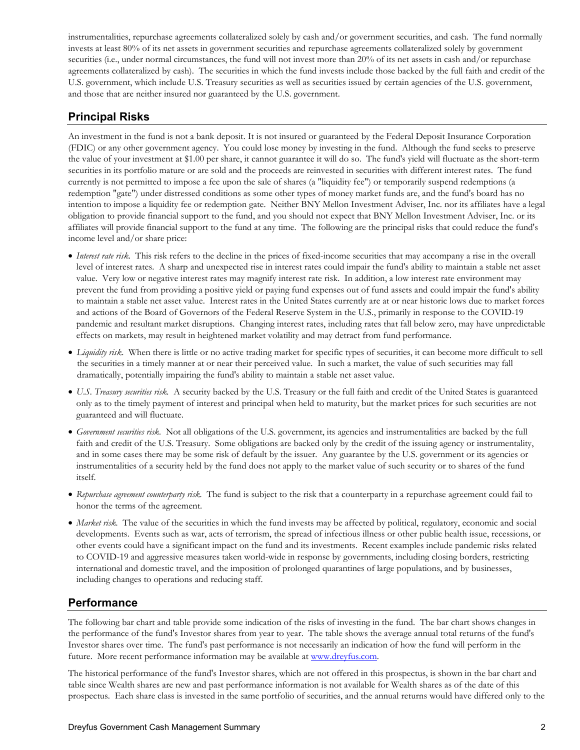instrumentalities, repurchase agreements collateralized solely by cash and/or government securities, and cash. The fund normally invests at least 80% of its net assets in government securities and repurchase agreements collateralized solely by government securities (i.e., under normal circumstances, the fund will not invest more than 20% of its net assets in cash and/or repurchase agreements collateralized by cash). The securities in which the fund invests include those backed by the full faith and credit of the U.S. government, which include U.S. Treasury securities as well as securities issued by certain agencies of the U.S. government, and those that are neither insured nor guaranteed by the U.S. government.

# **Principal Risks**

An investment in the fund is not a bank deposit. It is not insured or guaranteed by the Federal Deposit Insurance Corporation (FDIC) or any other government agency. You could lose money by investing in the fund. Although the fund seeks to preserve the value of your investment at \$1.00 per share, it cannot guarantee it will do so. The fund's yield will fluctuate as the short-term securities in its portfolio mature or are sold and the proceeds are reinvested in securities with different interest rates. The fund currently is not permitted to impose a fee upon the sale of shares (a "liquidity fee") or temporarily suspend redemptions (a redemption "gate") under distressed conditions as some other types of money market funds are, and the fund's board has no intention to impose a liquidity fee or redemption gate. Neither BNY Mellon Investment Adviser, Inc. nor its affiliates have a legal obligation to provide financial support to the fund, and you should not expect that BNY Mellon Investment Adviser, Inc. or its affiliates will provide financial support to the fund at any time. The following are the principal risks that could reduce the fund's income level and/or share price:

- *Interest rate risk.* This risk refers to the decline in the prices of fixed-income securities that may accompany a rise in the overall level of interest rates. A sharp and unexpected rise in interest rates could impair the fund's ability to maintain a stable net asset value. Very low or negative interest rates may magnify interest rate risk. In addition, a low interest rate environment may prevent the fund from providing a positive yield or paying fund expenses out of fund assets and could impair the fund's ability to maintain a stable net asset value. Interest rates in the United States currently are at or near historic lows due to market forces and actions of the Board of Governors of the Federal Reserve System in the U.S., primarily in response to the COVID-19 pandemic and resultant market disruptions. Changing interest rates, including rates that fall below zero, may have unpredictable effects on markets, may result in heightened market volatility and may detract from fund performance.
- *Liquidity risk*. When there is little or no active trading market for specific types of securities, it can become more difficult to sell the securities in a timely manner at or near their perceived value. In such a market, the value of such securities may fall dramatically, potentially impairing the fund's ability to maintain a stable net asset value.
- *U.S. Treasury securities risk.* A security backed by the U.S. Treasury or the full faith and credit of the United States is guaranteed only as to the timely payment of interest and principal when held to maturity, but the market prices for such securities are not guaranteed and will fluctuate.
- *Government securities risk.* Not all obligations of the U.S. government, its agencies and instrumentalities are backed by the full faith and credit of the U.S. Treasury. Some obligations are backed only by the credit of the issuing agency or instrumentality, and in some cases there may be some risk of default by the issuer. Any guarantee by the U.S. government or its agencies or instrumentalities of a security held by the fund does not apply to the market value of such security or to shares of the fund itself.
- *Repurchase agreement counterparty risk.* The fund is subject to the risk that a counterparty in a repurchase agreement could fail to honor the terms of the agreement.
- *Market risk.* The value of the securities in which the fund invests may be affected by political, regulatory, economic and social developments. Events such as war, acts of terrorism, the spread of infectious illness or other public health issue, recessions, or other events could have a significant impact on the fund and its investments. Recent examples include pandemic risks related to COVID-19 and aggressive measures taken world-wide in response by governments, including closing borders, restricting international and domestic travel, and the imposition of prolonged quarantines of large populations, and by businesses, including changes to operations and reducing staff.

# **Performance**

The following bar chart and table provide some indication of the risks of investing in the fund. The bar chart shows changes in the performance of the fund's Investor shares from year to year. The table shows the average annual total returns of the fund's Investor shares over time. The fund's past performance is not necessarily an indication of how the fund will perform in the future. More recent performance information may be available at www.dreyfus.com.

The historical performance of the fund's Investor shares, which are not offered in this prospectus, is shown in the bar chart and table since Wealth shares are new and past performance information is not available for Wealth shares as of the date of this prospectus. Each share class is invested in the same portfolio of securities, and the annual returns would have differed only to the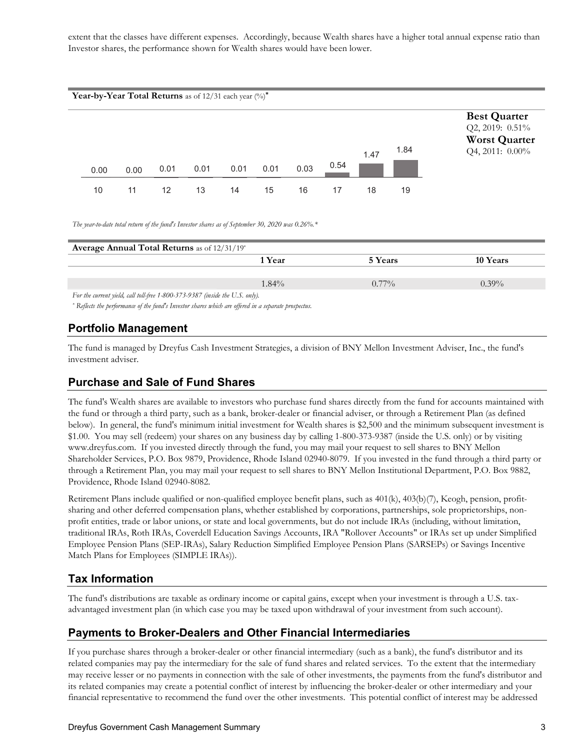extent that the classes have different expenses. Accordingly, because Wealth shares have a higher total annual expense ratio than Investor shares, the performance shown for Wealth shares would have been lower.



*The year-to-date total return of the fund's Investor shares as of September 30, 2020 was 0.26%.\** 

| Average Annual Total Returns as of 12/31/19*                                 |          |          |
|------------------------------------------------------------------------------|----------|----------|
| 1 Year                                                                       | 5 Years  | 10 Years |
|                                                                              |          |          |
| $1.84\%$                                                                     | $0.77\%$ | $0.39\%$ |
| For the current yield, call toll-free 1-800-373-9387 (inside the U.S. only). |          |          |

*\* Reflects the performance of the fund's Investor shares which are offered in a separate prospectus.* 

# **Portfolio Management**

The fund is managed by Dreyfus Cash Investment Strategies, a division of BNY Mellon Investment Adviser, Inc., the fund's investment adviser.

# **Purchase and Sale of Fund Shares**

The fund's Wealth shares are available to investors who purchase fund shares directly from the fund for accounts maintained with the fund or through a third party, such as a bank, broker-dealer or financial adviser, or through a Retirement Plan (as defined below). In general, the fund's minimum initial investment for Wealth shares is \$2,500 and the minimum subsequent investment is \$1.00. You may sell (redeem) your shares on any business day by calling 1-800-373-9387 (inside the U.S. only) or by visiting www.dreyfus.com. If you invested directly through the fund, you may mail your request to sell shares to BNY Mellon Shareholder Services, P.O. Box 9879, Providence, Rhode Island 02940-8079. If you invested in the fund through a third party or through a Retirement Plan, you may mail your request to sell shares to BNY Mellon Institutional Department, P.O. Box 9882, Providence, Rhode Island 02940-8082.

Retirement Plans include qualified or non-qualified employee benefit plans, such as 401(k), 403(b)(7), Keogh, pension, profitsharing and other deferred compensation plans, whether established by corporations, partnerships, sole proprietorships, nonprofit entities, trade or labor unions, or state and local governments, but do not include IRAs (including, without limitation, traditional IRAs, Roth IRAs, Coverdell Education Savings Accounts, IRA "Rollover Accounts" or IRAs set up under Simplified Employee Pension Plans (SEP-IRAs), Salary Reduction Simplified Employee Pension Plans (SARSEPs) or Savings Incentive Match Plans for Employees (SIMPLE IRAs)).

# **Tax Information**

The fund's distributions are taxable as ordinary income or capital gains, except when your investment is through a U.S. taxadvantaged investment plan (in which case you may be taxed upon withdrawal of your investment from such account).

# **Payments to Broker-Dealers and Other Financial Intermediaries**

If you purchase shares through a broker-dealer or other financial intermediary (such as a bank), the fund's distributor and its related companies may pay the intermediary for the sale of fund shares and related services. To the extent that the intermediary may receive lesser or no payments in connection with the sale of other investments, the payments from the fund's distributor and its related companies may create a potential conflict of interest by influencing the broker-dealer or other intermediary and your financial representative to recommend the fund over the other investments. This potential conflict of interest may be addressed